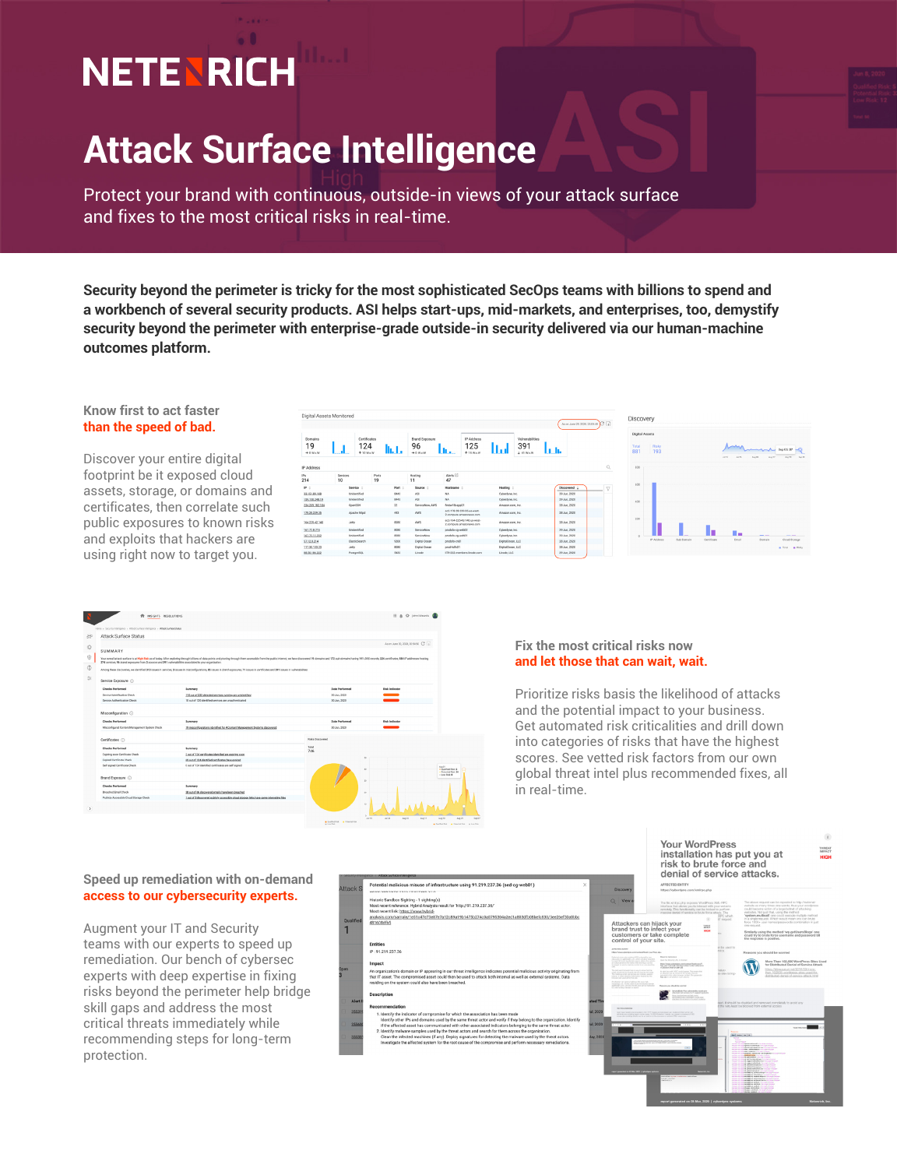# **NETENRICH**

## **Attack Surface Intelligence**

Protect your brand with continuous, outside-in views of your attack surface and fixes to the most critical risks in real-time.

**Security beyond the perimeter is tricky for the most sophisticated SecOps teams with billions to spend and a workbench of several security products. ASI helps start-ups, mid-markets, and enterprises, too, demystify security beyond the perimeter with enterprise-grade outside-in security delivered via our human-machine outcomes platform.**

#### **Know first to act faster than the speed of bad.**

Discover your entire digital footprint be it exposed cloud assets, storage, or domains and certificates, then correlate such public exposures to known risks and exploits that hackers are using right now to target you.

| Digital Assets Monitored<br>ALON JUNE 23, 2320, 2335.48 |                |                                         |               |                                          |                                                        |                                           |              |               |              | Discovery       |                                |             |                |                                                            |               |  |
|---------------------------------------------------------|----------------|-----------------------------------------|---------------|------------------------------------------|--------------------------------------------------------|-------------------------------------------|--------------|---------------|--------------|-----------------|--------------------------------|-------------|----------------|------------------------------------------------------------|---------------|--|
| Domains<br>19<br>$+0$ We W                              |                | Certificates<br>124<br><b>1 10 Walk</b> |               | <b>Brand Exposure</b><br>96<br>$+6$ We W | IP Address<br>125<br>Llt.c.<br>$+15$ WeW               | Vulnerabilities<br>391<br>Ww<br>$+41$ WeW | եւհ          |               | Total<br>881 |                 | Digital Assets<br>Risky<br>193 |             | 3.415<br>36.25 | $A = A$ Sep (5.37 of)<br><b>Sec 25</b><br>$A=20$<br>Ann 27 |               |  |
| IP Address                                              |                |                                         |               |                                          |                                                        |                                           |              | Q             | 800          |                 |                                |             |                |                                                            |               |  |
| IPs<br>214                                              | Services<br>10 |                                         | Ports<br>19   | Hosting<br>11                            | Alerts<br>47                                           |                                           |              |               |              |                 |                                |             |                |                                                            |               |  |
| $P =$                                                   | Service :      |                                         | Port          | Source                                   | Hostname                                               | Hesting :                                 | Discovered : | $\mathcal{L}$ | 600          |                 |                                |             |                |                                                            |               |  |
| 33.151.89.108                                           | Unidentified   |                                         | 8443          | A51                                      | NA                                                     | <b>Cyberdyne</b> , Inc.                   | 29 Jun, 2020 |               |              |                 |                                |             |                |                                                            |               |  |
| 159.150.248.19                                          | Unidentified   |                                         | 8443          | ASI                                      | NA.                                                    | Orberdyne, Inc.                           | 29 Jun. 2020 |               | 400          |                 |                                |             |                |                                                            |               |  |
| 234, 209, 182, 104                                      | OpenSSH        |                                         | $\mathbf{22}$ | ServiceNow, AWS                          | firstwf-b-app01                                        | Amazon.com, Inc.                          | 28 Jun, 2020 |               |              |                 |                                |             |                |                                                            |               |  |
| 178.28.239.35                                           | Apache httpd   |                                         | 443           | ANS                                      | ex2-178-28-239-35.us-west-<br>2.compute.amazonaws.com  | Amazon.com.inc.                           | 28 Jun. 2020 |               |              |                 |                                |             |                |                                                            |               |  |
| 164,225,42,140                                          | Jetty          |                                         | 8080          | 3205                                     | ec2-164-225-42-140 as west-<br>2.compute.amazonews.com | Amazon.com.inc.                           | 28 Jun. 2020 |               | 200          |                 |                                |             |                |                                                            |               |  |
| 167,72.8.215                                            | Unidentified   |                                         | 8080          | ServiceNow                               | produto-co-web02                                       | Oderdyne, Inc.                            | 29 Jun. 2020 |               |              |                 |                                |             |                |                                                            |               |  |
| 167.72.11.232                                           | Unidentified   |                                         | 8080          | ServiceNow                               | prodsfo-og-web01                                       | Cyberdyne, Inc.                           | 29 Jun 2020  |               |              |                 |                                |             | ٠.             | --                                                         | ___           |  |
| 57.12.8.214                                             |                | <b>ElesticSearch</b>                    | 9200          | Digital Ocean                            | prodsfo-cn01                                           | DigitalOcean, LLC                         | 28 Jun, 2020 |               |              | <b>PAddress</b> | Sub Domain                     | Certificate | Freall         | Domain                                                     | Cloud Storage |  |
| 117.30.133.23                                           | Jetty          |                                         | 8080          | Digital Ocean                            | prod-hdfs01                                            | DigitalOcean, LLC                         | 28 Jun. 2020 |               |              |                 |                                |             |                |                                                            | Total # Risky |  |
| 88.50.185.222                                           | PostgreSQL     |                                         | 5432          | Linode                                   | 178-222 reembers linede.com                            | Lineda LLC                                | 29 Jun 2020  |               |              |                 |                                |             |                |                                                            |               |  |



#### **Fix the most critical risks now and let those that can wait, wait.**

Prioritize risks basis the likelihood of attacks and the potential impact to your business. Get automated risk criticalities and drill down into categories of risks that have the highest scores. See vetted risk factors from our own global threat intel plus recommended fixes, all in real-time.

#### **Speed up remediation with on-demand access to our cybersecurity experts.**

Augment your IT and Security teams with our experts to speed up remediation. Our bench of cybersec experts with deep expertise in fixing risks beyond the perimeter help bridge skill gaps and address the most critical threats immediately while recommending steps for long-term protection.



355